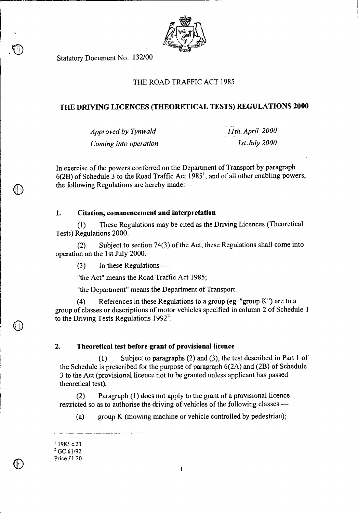

Statutory Document No. 132/00

# THE ROAD TRAFFIC ACT 1985

# **THE DRIVING LICENCES (THEORETICAL TESTS) REGULATIONS 2000**

*Approved by Tynwald 11th. April 2000 Coming into operation* 1st July 2000

In exercise of the powers conferred on the Department of Transport by paragraph  $6(2B)$  of Schedule 3 to the Road Traffic Act  $1985<sup>1</sup>$ , and of all other enabling powers, the following Regulations are hereby made:—

# **1. Citation, commencement and interpretation**

(1) These Regulations may be cited as the Driving Licences (Theoretical Tests) Regulations 2000.

(2) Subject to section 74(3) of the Act, these Regulations shall come into operation on the 1st July 2000.

(3) In these Regulations —

"the Act" means the Road Traffic Act 1985;

"the Department" means the Department of Transport.

(4) References in these Regulations to a group (eg. "group K") are to a group of classes or descriptions of motor vehicles specified in column 2 of Schedule 1 to the Driving Tests Regulations  $1992<sup>2</sup>$ .

# **2. Theoretical test before grant of provisional licence**

(1) Subject to paragraphs (2) and (3), the test described in Part 1 of the Schedule is prescribed for the purpose of paragraph 6(2A) and (2B) of Schedule 3 to the Act (provisional licence not to be granted unless applicant has passed theoretical test).

(2) Paragraph (1) does not apply to the grant of a provisional licence restricted so as to authorise the driving of vehicles of the following classes —

(a) group K (mowing machine or vehicle controlled by pedestrian);

 $1$  1985 c.23

<sup>&</sup>lt;sup>2</sup> GC 61/92

Price £1.20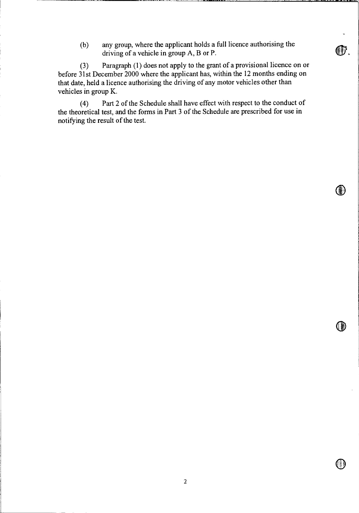(b) any group, where the applicant holds a full licence authorising the driving of a vehicle in group A, B or P.

(3) Paragraph (1) does not apply to the grant of a provisional licence on or before 31st December 2000 where the applicant has, within the 12 months ending on that date, held a licence authorising the driving of any motor vehicles other than vehicles in group K.

(4) Part 2 of the Schedule shall have effect with respect to the conduct of the theoretical test, and the forms in Part 3 of the Schedule are prescribed for use in notifying the result of the test.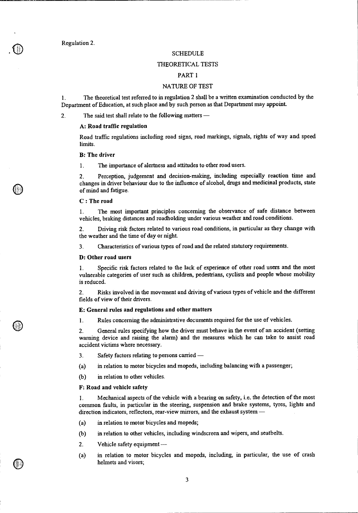Regulation 2.

### **SCHEDULE**

### THEORETICAL TESTS

# PART 1

## NATURE OF TEST

1. The theoretical test referred to in regulation 2 shall be a written examination conducted by the Department of Education, at such place and by such person as that Department may appoint.

2. The said test shall relate to the following matters —

#### **A: Road traffic regulation**

Road traffic regulations including road signs, road markings, signals, rights of way and speed limits.

### **B: The driver**

1. The importance of alertness and attitudes to other road users.

2. Perception, judgement and decision-making, including especially reaction time and changes in driver behaviour due to the influence of alcohol, drugs and medicinal products, state of mind and fatigue.

### **C : The road**

1. The most important principles concerning the observance of safe distance between vehicles, braking distances and roadholding under various weather and road conditions.

2. Driving risk factors related to various road conditions, in particular as they change with the weather and the time of day or night.

3. Characteristics of various types of road and the related statutory requirements.

### **D: Other road users**

1. Specific risk factors related to the lack of experience of other road users and the most vulnerable categories of user such as children, pedestrians, cyclists and people whose mobility is reduced.

2. Risks involved in the movement and driving of various types of vehicle and the different fields of view of their drivers.

#### **E: General rules and regulations and other matters**

1. Rules concerning the administrative documents required for the use of vehicles.

2. General rules specifying how the driver must behave in the event of an accident (setting warning device and raising the alarm) and the measures which he can take to assist road accident victims where necessary.

- 3. Safety factors relating to persons carried —
- (a) in relation to motor bicycles and mopeds, including balancing with a passenger;
- (b) in relation to other vehicles.

#### **F: Road and vehicle safety**

**1.** Mechanical aspects of the vehicle with a bearing on safety, i.e. the detection of the most common faults, in particular in the steering, suspension and brake systems, tyres, lights and direction indicators, reflectors, rear-view mirrors, and the exhaust system —

- (a) in relation to motor bicycles and mopeds;
- (b) in relation to other vehicles, including windscreen and wipers, and seatbelts.
- 2. Vehicle safety equipment —
- (a) in relation to motor bicycles and mopeds, including, in particular, the use of crash helmets and visors;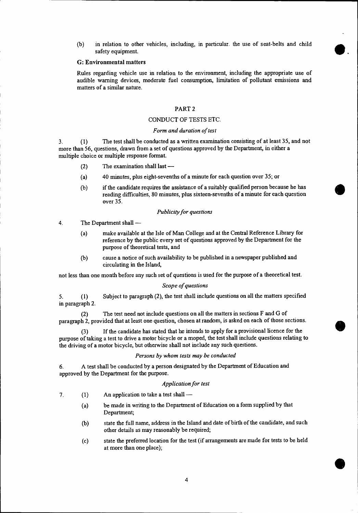(b) in relation to other vehicles, including, in particular. the use of seat-belts and child safety equipment.

 $\bullet$ .

•

•

### G: Environmental matters

Rules regarding vehicle use in relation to the environment, including the appropriate use of audible warning devices, moderate fuel consumption, limitation of pollutant emissions and matters of a similar nature.

## PART 2

## CONDUCT OF TESTS ETC.

### *Form and duration of test*

3. ( <sup>1</sup> ) The test shall be conducted as a written examination consisting of at least 35, and not more than 56, questions, drawn from a set of questions approved by the Department, in either a multiple choice or multiple response format.

- (2) The examination shall last —
- (a) 40 minutes, plus eight-sevenths of a minute for each question over 35; or
- (b) if the candidate requires the assistance of a suitably qualified person because he has reading difficulties, 80 minutes, plus sixteen-sevenths of a minute for each question over 35.

### *Publicity for questions*

4. The Department shall —

- (a) make available at the Isle of Man College and at the Central Reference Library for reference by the public every set of questions approved by the Department for the purpose of theoretical tests, and
- (b) cause a notice of such availability to be published in a newspaper published and circulating in the Island,

not less than one month before any such set of questions is used for the purpose of a theoretical test.

#### *Scope of questions*

5. ( <sup>1</sup> ) Subject to paragraph (2), the test shall include questions on all the matters specified in paragraph 2.

(2) The test need not include questions on all the matters in sections F and G of paragraph 2, provided that at least one question, chosen at random, is asked on each of those sections.

(3) If the candidate has stated that he intends to apply for a provisional licence for the purpose of taking a test to drive a motor bicycle or a moped, the test shall include questions relating to the driving of a motor bicycle, but otherwise shall not include any such questions.

### *Persons by whom tests may be conducted*

6. A test shall be conducted by a person designated by the Department of Education and approved by the Department for the purpose.

# *Application for test*

- *7. ( <sup>1</sup> )* An application to take a test shall
	- (a) be made in writing to the Department of Education on a form supplied by that Department;
	- (b) state the full name, address in the Island and date of birth of the candidate, and such other details as may reasonably be required;
	- (c) state the preferred location for the test (if arrangements are made for tests to be held at more than one place);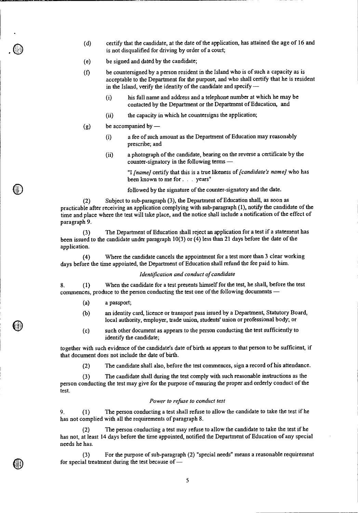- (d) certify that the candidate, at the date of the application, has attained the age of 16 and is not disqualified for driving by order of a court;
- (e) be signed and dated by the candidate;
- (0 be countersigned by a person resident in the Island who is of such a capacity as is acceptable to the Department for the purpose, and who shall certify that he is resident in the Island, verify the identity of the candidate and specify —
	- (i) his full name and address and a telephone number at which he may be contacted by the Department or the Department of Education, and
	- (ii) the capacity in which he countersigns the application;
- $(g)$  be accompanied by
	- (i) a fee of such amount as the Department of Education may reasonably prescribe; and
	- (ii) a photograph of the candidate, bearing on the reverse a certificate by the counter-signatory in the following terms —

"I *[name]* certify that this is a true likeness of *[candidate's name]* who has been known to me for . . . years"

followed by the signature of the counter-signatory and the date.

(2) Subject to sub-paragraph (3), the Department of Education shall, as soon as practicable after receiving an application complying with sub-paragraph (1), notify the candidate of the time and place where the test will take place, and the notice shall include a notification of the effect of paragraph 9.

(3) The Department of Education shall reject an application for a test if a statement has been issued to the candidate under paragraph 10(3) or (4) less than 21 days before the date of the application.

(4) Where the candidate cancels the appointment for a test more than 3 clear working days before the time appointed, the Department of Education shall refund the fee paid to him.

### *Identification and conduct of candidate*

8. (1) When the candidate for a test presents himself for the test, he shall, before the test commences, produce to the person conducting the test one of the following documents —

- (a) a passport;
- (b) an identity card, licence or transport pass issued by a Department, Statutory Board, local authority, employer, trade union, students' union or professional body; or
- (c) such other document as appears to the person conducting the test sufficiently to identify the candidate;

together with such evidence of the candidate's date of birth as appears to that person to be sufficient, if that document does not include the date of birth.

(2) The candidate shall also, before the test commences, sign a record of his attendance.

(3) The candidate shall during the test comply with such reasonable instructions as the person conducting the test may give for the purpose of ensuring the proper and orderly conduct of the test.

## *Power to refuse to conduct test*

9. (1) The person conducting a test shall refuse to allow the candidate to take the test if he has not complied with all the requirements of paragraph 8.

(2) The person conducting a test may refuse to allow the candidate to take the test if he has not, at least 14 days before the time appointed, notified the Department of Education of any special needs he has.

(3) For the purpose of sub-paragraph (2) "special needs" means a reasonable requirement for special treatment during the test because of —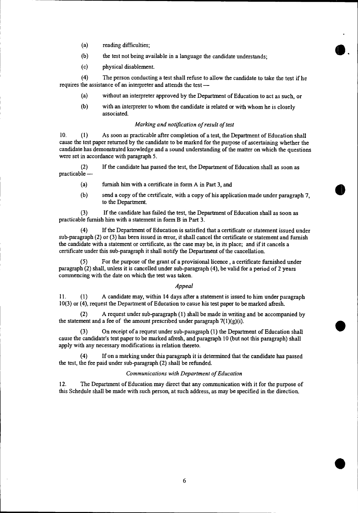- (a) reading difficulties;
- (b) the test not being available in a language the candidate understands;
- (c) physical disablement.

(4) The person conducting a test shall refuse to allow the candidate to take the test if he requires the assistance of an interpreter and attends the test —

- (a) without an interpreter approved by the Department of Education to act as such, or
- (b) with an interpreter to whom the candidate is related or with whom he is closely associated.

## *Marking and notification of result of test*

10. (1) As soon as practicable after completion of a test, the Department of Education shall cause the test paper returned by the candidate to be marked for the purpose of ascertaining whether the candidate has demonstrated knowledge and a sound understanding of the matter on which the questions were set in accordance with paragraph 5.

(2) If the candidate has passed the test, the Department of Education shall as soon as practicable —

- (a) furnish him with a certificate in form A in Part 3, and
- (b) send a copy of the certificate, with a copy of his application made under paragraph 7, to the Department.

(3) If the candidate has failed the test, the Department of Education shall as soon as practicable furnish him with a statement in form B in Part 3.

(4) If the Department of Education is satisfied that a certificate or statement issued under sub-paragraph (2) or (3) has been issued in error, it shall cancel the certificate or statement and furnish the candidate with a statement or certificate, as the case may be, in its place; and if it cancels a certificate under this sub-paragraph it shall notify the Department of the cancellation.

(5) For the purpose of the grant of a provisional licence , a certificate furnished under paragraph (2) shall, unless it is cancelled under sub-paragraph (4), be valid for a period of 2 years commencing with the date on which the test was taken.

### *Appeal*

11. (1) A candidate may, within 14 days after a statement is issued to him under paragraph 10(3) or (4), request the Department of Education to cause his test paper to be marked afresh.

(2) A request under sub-paragraph (1) shall be made in writing and be accompanied by the statement and a fee of the amount prescribed under paragraph  $7(1)(g)(i)$ .

(3) On receipt of a request under sub-paragraph (1) the Department of Education shall cause the candidate's test paper to be marked afresh, and paragraph 10 (but not this paragraph) shall apply with any necessary modifications in relation thereto.

(4) If on a marking under this paragraph it is determined that the candidate has passed the test, the fee paid under sub-paragraph (2) shall be refunded.

## *Communications with Department of Education*

12. The Department of Education may direct that any communication with it for the purpose of this Schedule shall be made with such person, at such address, as may be specified in the direction.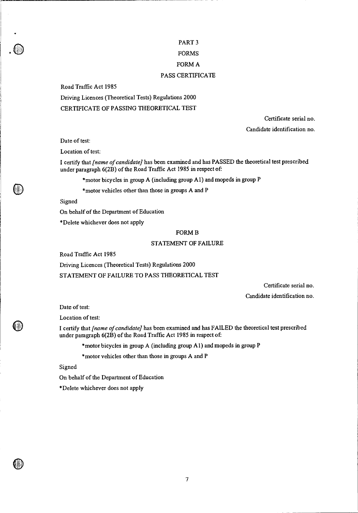# PART 3 FORMS FORM A PASS CERTIFICATE

Road Traffic Act 1985

Driving Licences (Theoretical Tests) Regulations 2000 CERTIFICATE OF PASSING THEORETICAL TEST

> Certificate serial no. Candidate identification no.

Date of test:

Location of test:

I certify that *[name of candidate]* has been examined and has PASSED the theoretical test prescribed under paragraph 6(2B) of the Road Traffic Act 1985 in respect of:

\*motor bicycles in group A (including group Al) and mopeds in group P

\*motor vehicles other than those in groups A and P

Signed

On behalf of the Department of Education

\*Delete whichever does not apply

#### FORM B

#### STATEMENT OF FAILURE

Road Traffic Act 1985

Driving Licences (Theoretical Tests) Regulations 2000

STATEMENT OF FAILURE TO PASS THEORETICAL TEST

Certificate serial no. Candidate identification no.

Date of test:

Location of test:

I certify that *[name of candidate]* has been examined and has FAILED the theoretical test prescribed under paragraph 6(2B) of the Road Traffic Act 1985 in respect of:

\*motor bicycles in group A (including group Al) and mopeds in group P

\*motor vehicles other than those in groups A and P

Signed

On behalf of the Department of Education

\*Delete whichever does not apply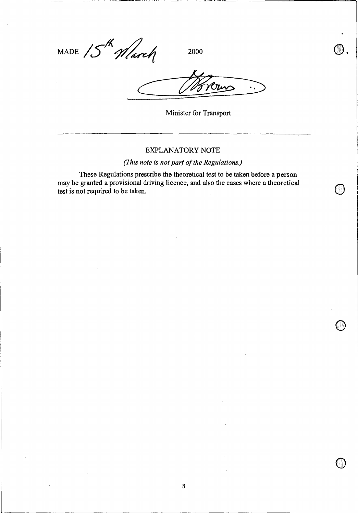MADE  $15^{th}$  March 2000

 $\ddot{\phantom{a}}$ 

Minister for Transport

# EXPLANATORY NOTE

*(This note is not part of the Regulations.)* 

These Regulations prescribe the theoretical test to be taken before a person may be granted a provisional driving licence, and also the cases where a theoretical test is not required to be taken.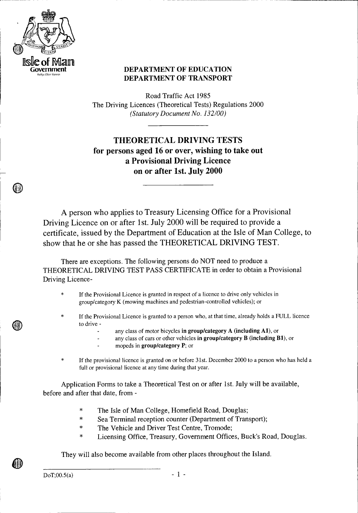

# **CONDUCATION DEPARTMENT OF EDUCATION DEPARTMENT OF TRANSPORT**

Road Traffic Act 1985 The Driving Licences (Theoretical Tests) Regulations 2000 *(Statutory Document No. 132/00)* 

**THEORETICAL DRIVING TESTS for persons aged 16 or over, wishing to take out a Provisional Driving Licence on or after 1st. July 2000** 

A person who applies to Treasury Licensing Office for a Provisional Driving Licence on or after 1st. July 2000 will be required to provide a certificate, issued by the Department of Education at the Isle of Man College, to show that he or she has passed the THEORETICAL DRIVING TEST.

There are exceptions. The following persons do NOT need to produce a THEORETICAL DRIVING TEST PASS CERTIFICATE in order to obtain a Provisional Driving Licence-

- \* If the Provisional Licence is granted in respect of a licence to drive only vehicles in group/category K (mowing machines and pedestrian-controlled vehicles); or
- If the Provisional Licence is granted to a person who, at that time, already holds a FULL licence to drive
	- any class of motor bicycles in group/category A (including Al), or
	- any class of cars or other vehicles in group/category **B** (including Bl), or
	- mopeds in group/category P; or
- If the provisional licence is granted on or before 31st. December 2000 to a person who has held a full or provisional licence at any time during that year.

Application Forms to take a Theoretical Test on or after 1st. July will be available, before and after that date, from -

- \* The Isle of Man College, Homefield Road, Douglas;
- \* Sea Terminal reception counter (Department of Transport);
- \* The Vehicle and Driver Test Centre, Tromode;
- \* Licensing Office, Treasury, Government Offices, Buck's Road, Douglas.

They will also become available from other places throughout the Island.

DoT;00.5(a)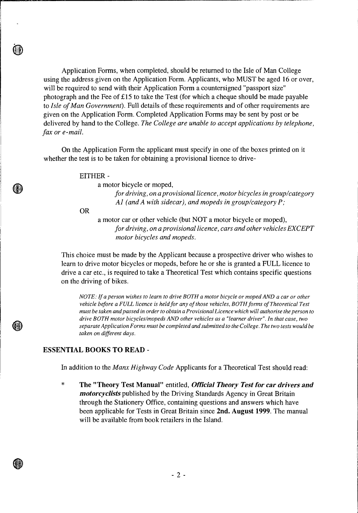Application Forms, when completed, should be returned to the Isle of Man College using the address given on the Application Form. Applicants, who MUST be aged 16 or over, will be required to send with their Application Form a countersigned "passport size" photograph and the Fee of £15 to take the Test (for which a cheque should be made payable to *Isle of Man Government).* Full details of these requirements and of other requirements are given on the Application Form. Completed Application Forms may be sent by post or be delivered by hand to the College. *The College are unable to accept applications by telephone, fax or e-mail.* 

On the Application Form the applicant must specify in one of the boxes printed on it whether the test is to be taken for obtaining a provisional licence to drive-

EITHER -

a motor bicycle or moped,

*for driving, on a provisional licence, motor bicycles in group/category Al (and A with sidecar), and mopeds in group/category P;* 

OR

a motor car or other vehicle (but NOT a motor bicycle or moped), *for driving, on a provisional licence, cars and other vehicles EXCEPT motor bicycles and mopeds.* 

This choice must be made by the Applicant because a prospective driver who wishes to learn to drive motor bicycles or mopeds, before he or she is granted a FULL licence to drive a car etc., is required to take a Theoretical Test which contains specific questions on the driving of bikes.

*NOTE: If a person wishes to learn to drive BOTH a motor bicycle or moped AND a car or other vehicle before a FULL licence is held for any of those vehicles, BOTH forms of Theoretical Test must be taken and passed in order to obtain a Provisional Licence which will authorise the person to drive BOTH motor bicycles/mopeds AND other vehicles as a "learner driver". In that case, two separate Application Forms must be completed and submitted to the College. The two tests would be taken on different days.* 

# **ESSENTIAL BOOKS TO READ -**

In addition to the *Manx Highway Code* Applicants for a Theoretical Test should read:

 $\ast$ **The "Theory Test Manual"** entitled, *Official Theory Test for car drivers and motorcyclists* published by the Driving Standards Agency in Great Britain through the Stationery Office, containing questions and answers which have been applicable for Tests in Great Britain since **2nd. August 1999.** The manual will be available from book retailers in the Island.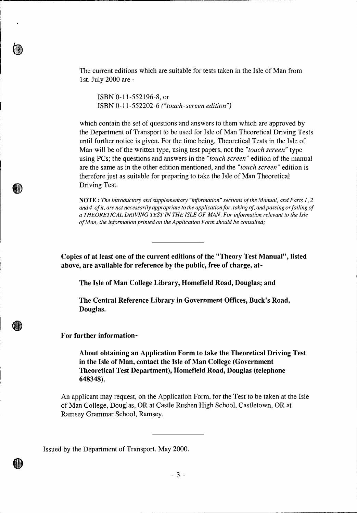The current editions which are suitable for tests taken in the Isle of Man from 1st. July 2000 are -

ISBN 0-11-552196-8, or ISBN 0-11-552202-6 *("touch-screen edition")* 

which contain the set of questions and answers to them which are approved by the Department of Transport to be used for Isle of Man Theoretical Driving Tests until further notice is given. For the time being, Theoretical Tests in the Isle of Man will be of the written type, using test papers, not the *"touch screen"* type using PCs; the questions and answers in the *"touch screen"* edition of the manual are the same as in the other edition mentioned, and the *"touch screen"* edition is therefore just as suitable for preparing to take the Isle of Man Theoretical Driving Test.

NOTE : *The introductory and supplementary "information" sections of the Manual, and Parts 1, 2 and 4 of it, are not necessarily appropriate to the application for, taking of, and passing or failing of a THEORETICAL DRIVING TEST IN THE ISLE OF MAN. For information relevant to the Isle of Man, the information printed on the Application Form should be consulted;* 

**Copies of at least one of the current editions of the "Theory Test Manual", listed above, are available for reference by the public, free of charge, at-**

**The Isle of Man College Library, Homefield Road, Douglas; and** 

**The Central Reference Library in Government Offices, Buck's Road, Douglas.** 

**For further information-**

**About obtaining an Application Form to take the Theoretical Driving Test in the Isle of Man, contact the Isle of Man College (Government Theoretical Test Department), Homefield Road, Douglas (telephone 648348).** 

An applicant may request, on the Application Form, for the Test to be taken at the Isle of Man College, Douglas, OR at Castle Rushen High School, Castletown, OR at Ramsey Grammar School, Ramsey.

Issued by the Department of Transport. May 2000.